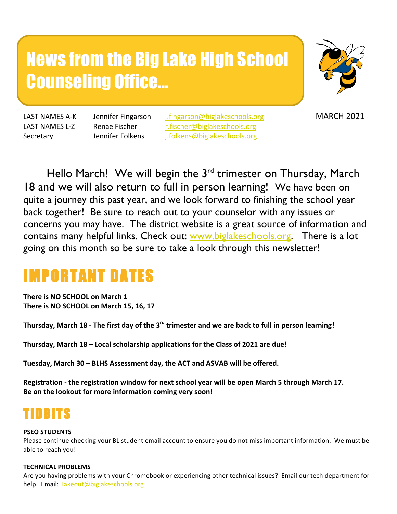# News from the Big Lake High School Counseling Office…



LAST NAMES A-K Jennifer Fingarson *i.fingarson@biglakeschools.org* MARCH 2021 LAST NAMES L-Z Renae Fischer r.fischer@biglakeschools.org Secretary Jennifer Folkens i.folkens@biglakeschools.org

Hello March! We will begin the 3<sup>rd</sup> trimester on Thursday, March 18 and we will also return to full in person learning! We have been on quite a journey this past year, and we look forward to finishing the school year back together! Be sure to reach out to your counselor with any issues or concerns you may have. The district website is a great source of information and contains many helpful links. Check out: www.biglakeschools.org. There is a lot going on this month so be sure to take a look through this newsletter!

# IMPORTANT DATES

**There is NO SCHOOL on March 1** There is NO SCHOOL on March 15, 16, 17

Thursday, March 18 - The first day of the 3<sup>rd</sup> trimester and we are back to full in person learning!

Thursday, March 18 - Local scholarship applications for the Class of 2021 are due!

Tuesday, March 30 - BLHS Assessment day, the ACT and ASVAB will be offered.

Registration - the registration window for next school year will be open March 5 through March 17. Be on the lookout for more information coming very soon!

# TIDBITS

# **PSEO STUDENTS**

Please continue checking your BL student email account to ensure you do not miss important information. We must be able to reach you!

# **TECHNICAL PROBLEMS**

Are you having problems with your Chromebook or experiencing other technical issues? Email our tech department for help. Email: Takeout@biglakeschools.org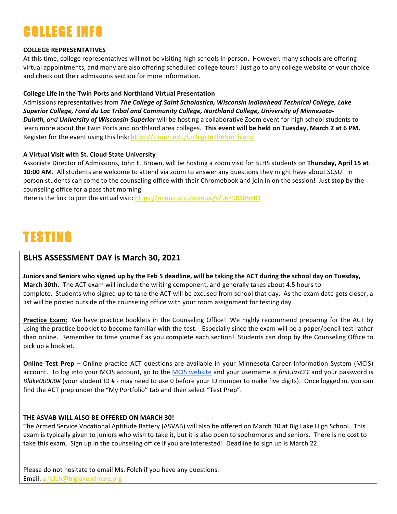# COLLEGE INFO

# **COLLEGE REPRESENTATIVES**

At this time, college representatives will not be visiting high schools in person. However, many schools are offering virtual appointments, and many are also offering scheduled college tours! Just go to any college website of your choice and check out their admissions section for more information.

# **College Life in the Twin Ports and Northland Virtual Presentation**

Admissions representatives from *The College of Saint Scholastica, Wisconsin Indianhead Technical College, Lake* Superior College, Fond du Lac Tribal and Community College, Northland College, University of Minnesota-*Duluth,* and *University of Wisconsin-Superior* will be hosting a collaborative Zoom event for high school students to learn more about the Twin Ports and northland area colleges. This event will be held on Tuesday, March 2 at 6 PM. Register for the event using this link: https://z.umn.edu/CollegeInTheNorthland

# **A Virtual Visit with St. Cloud State University**

Associate Director of Admissions, John E. Brown, will be hosting a zoom visit for BLHS students on Thursday, April 15 at **10:00 AM**. All students are welcome to attend via zoom to answer any questions they might have about SCSU. In person students can come to the counseling office with their Chromebook and join in on the session! Just stop by the counseling office for a pass that morning.

Here is the link to join the virtual visit:  $\frac{https://minnstate.zoom.us/s/96490685601}{https://minnstate.zoom.us/s/96490685601}$ 

# TESTING

# **BLHS ASSESSMENT DAY is March 30, 2021**

Juniors and Seniors who signed up by the Feb 5 deadline, will be taking the ACT during the school day on Tuesday, March 30th. The ACT exam will include the writing component, and generally takes about 4.5 hours to complete. Students who signed up to take the ACT will be excused from school that day. As the exam date gets closer, a list will be posted outside of the counseling office with your room assignment for testing day.

**Practice Exam:** We have practice booklets in the Counseling Office! We highly recommend preparing for the ACT by using the practice booklet to become familiar with the test. Especially since the exam will be a paper/pencil test rather than online. Remember to time yourself as you complete each section! Students can drop by the Counseling Office to pick up a booklet.

**Online Test Prep** – Online practice ACT questions are available in your Minnesota Career Information System (MCIS) account. To log into your MCIS account, go to the MCIS website and your username is *first.last21* and your password is *Blake00000#* (your student ID # - may need to use 0 before your ID number to make five digits). Once logged in, you can find the ACT prep under the "My Portfolio" tab and then select "Test Prep".

# **THE ASVAB WILL ALSO BE OFFERED ON MARCH 30!**

The Armed Service Vocational Aptitude Battery (ASVAB) will also be offered on March 30 at Big Lake High School. This exam is typically given to juniors who wish to take it, but it is also open to sophomores and seniors. There is no cost to take this exam. Sign up in the counseling office if you are interested! Deadline to sign up is March 22.

Please do not hesitate to email Ms. Folch if you have any questions. Email: a.folch@biglakeschools.org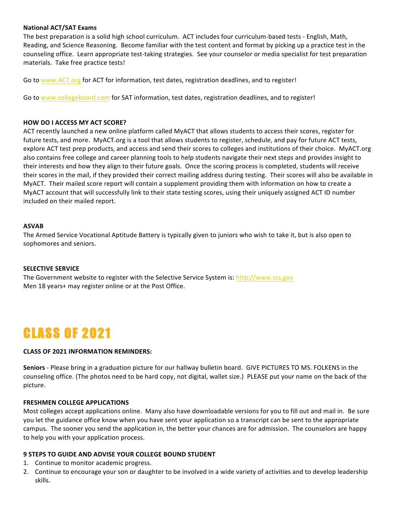### **National ACT/SAT Exams**

The best preparation is a solid high school curriculum. ACT includes four curriculum-based tests - English, Math, Reading, and Science Reasoning. Become familiar with the test content and format by picking up a practice test in the counseling office. Learn appropriate test-taking strategies. See your counselor or media specialist for test preparation materials. Take free practice tests!

Go to www.ACT.org for ACT for information, test dates, registration deadlines, and to register!

Go to www.collegeboard.com for SAT information, test dates, registration deadlines, and to register!

#### **HOW DO I ACCESS MY ACT SCORE?**

ACT recently launched a new online platform called MyACT that allows students to access their scores, register for future tests, and more. MyACT.org is a tool that allows students to register, schedule, and pay for future ACT tests, explore ACT test prep products, and access and send their scores to colleges and institutions of their choice. MyACT.org also contains free college and career planning tools to help students navigate their next steps and provides insight to their interests and how they align to their future goals. Once the scoring process is completed, students will receive their scores in the mail, if they provided their correct mailing address during testing. Their scores will also be available in MyACT. Their mailed score report will contain a supplement providing them with information on how to create a MyACT account that will successfully link to their state testing scores, using their uniquely assigned ACT ID number included on their mailed report.

### **ASVAB**

The Armed Service Vocational Aptitude Battery is typically given to juniors who wish to take it, but is also open to sophomores and seniors.

#### **SELECTIVE SERVICE**

The Government website to register with the Selective Service System is: http://www.sss.gov Men 18 years+ may register online or at the Post Office.

# CLASS OF 2021

# **CLASS OF 2021 INFORMATION REMINDERS:**

Seniors - Please bring in a graduation picture for our hallway bulletin board. GIVE PICTURES TO MS. FOLKENS in the counseling office. (The photos need to be hard copy, not digital, wallet size.) PLEASE put your name on the back of the picture.

#### **FRESHMEN COLLEGE APPLICATIONS**

Most colleges accept applications online. Many also have downloadable versions for you to fill out and mail in. Be sure you let the guidance office know when you have sent your application so a transcript can be sent to the appropriate campus. The sooner you send the application in, the better your chances are for admission. The counselors are happy to help you with your application process.

#### **9 STEPS TO GUIDE AND ADVISE YOUR COLLEGE BOUND STUDENT**

- 1. Continue to monitor academic progress.
- 2. Continue to encourage your son or daughter to be involved in a wide variety of activities and to develop leadership skills.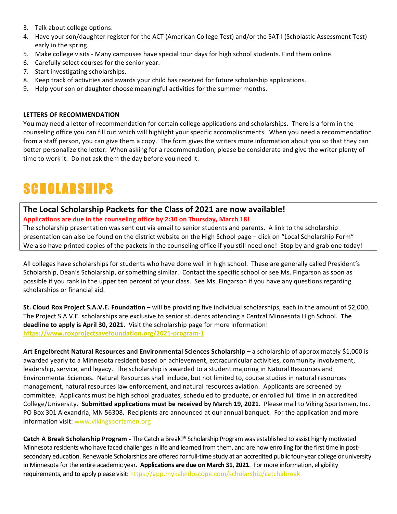- 3. Talk about college options.
- 4. Have your son/daughter register for the ACT (American College Test) and/or the SAT I (Scholastic Assessment Test) early in the spring.
- 5. Make college visits Many campuses have special tour days for high school students. Find them online.
- 6. Carefully select courses for the senior year.
- 7. Start investigating scholarships.
- 8. Keep track of activities and awards your child has received for future scholarship applications.
- 9. Help your son or daughter choose meaningful activities for the summer months.

### **LETTERS OF RECOMMENDATION**

You may need a letter of recommendation for certain college applications and scholarships. There is a form in the counseling office you can fill out which will highlight your specific accomplishments. When you need a recommendation from a staff person, you can give them a copy. The form gives the writers more information about you so that they can better personalize the letter. When asking for a recommendation, please be considerate and give the writer plenty of time to work it. Do not ask them the day before you need it.

# **SCHOLARSHIPS**

# The Local Scholarship Packets for the Class of 2021 are now available! Applications are due in the counseling office by 2:30 on Thursday, March 18!

The scholarship presentation was sent out via email to senior students and parents. A link to the scholarship presentation can also be found on the district website on the High School page – click on "Local Scholarship Form" We also have printed copies of the packets in the counseling office if you still need one! Stop by and grab one today!

All colleges have scholarships for students who have done well in high school. These are generally called President's Scholarship, Dean's Scholarship, or something similar. Contact the specific school or see Ms. Fingarson as soon as possible if you rank in the upper ten percent of your class. See Ms. Fingarson if you have any questions regarding scholarships or financial aid.

**St. Cloud Rox Project S.A.V.E. Foundation** – will be providing five individual scholarships, each in the amount of \$2,000. The Project S.A.V.E. scholarships are exclusive to senior students attending a Central Minnesota High School. The **deadline to apply is April 30, 2021.** Visit the scholarship page for more information! **https://www.roxprojectsavefoundation.org/2021-program-1**

Art Engelbrecht Natural Resources and Environmental Sciences Scholarship – a scholarship of approximately \$1,000 is awarded yearly to a Minnesota resident based on achievement, extracurricular activities, community involvement, leadership, service, and legacy. The scholarship is awarded to a student majoring in Natural Resources and Environmental Sciences. Natural Resources shall include, but not limited to, course studies in natural resources management, natural resources law enforcement, and natural resources aviation. Applicants are screened by committee. Applicants must be high school graduates, scheduled to graduate, or enrolled full time in an accredited College/University. Submitted applications must be received by March 19, 2021. Please mail to Viking Sportsmen, Inc. PO Box 301 Alexandria, MN 56308. Recipients are announced at our annual banquet. For the application and more information visit: www.vikingsportsmen.org

**Catch A Break Scholarship Program** - The Catch a Break!® Scholarship Program was established to assist highly motivated Minnesota residents who have faced challenges in life and learned from them, and are now enrolling for the first time in postsecondary education. Renewable Scholarships are offered for full-time study at an accredited public four-year college or university in Minnesota for the entire academic year. Applications are due on March 31, 2021. For more information, eligibility requirements, and to apply please visit: https://app.mykaleidoscope.com/scholarship/catchabreak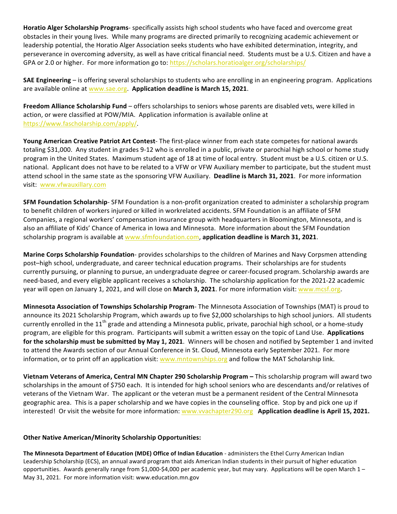Horatio Alger Scholarship Programs- specifically assists high school students who have faced and overcome great obstacles in their young lives. While many programs are directed primarily to recognizing academic achievement or leadership potential, the Horatio Alger Association seeks students who have exhibited determination, integrity, and perseverance in overcoming adversity, as well as have critical financial need. Students must be a U.S. Citizen and have a GPA or 2.0 or higher. For more information go to: https://scholars.horatioalger.org/scholarships/

**SAE Engineering** – is offering several scholarships to students who are enrolling in an engineering program. Applications are available online at www.sae.org. Application deadline is March 15, 2021.

Freedom Alliance Scholarship Fund – offers scholarships to seniors whose parents are disabled vets, were killed in action, or were classified at POW/MIA. Application information is available online at https://www.fascholarship.com/apply/. 

Young American Creative Patriot Art Contest- The first-place winner from each state competes for national awards totaling \$31,000. Any student in grades 9-12 who is enrolled in a public, private or parochial high school or home study program in the United States. Maximum student age of 18 at time of local entry. Student must be a U.S. citizen or U.S. national. Applicant does not have to be related to a VFW or VFW Auxiliary member to participate, but the student must attend school in the same state as the sponsoring VFW Auxiliary. Deadline is March 31, 2021. For more information visit: www.vfwauxillary.com

**SFM Foundation Scholarship**- SFM Foundation is a non-profit organization created to administer a scholarship program to benefit children of workers injured or killed in workrelated accidents. SFM Foundation is an affiliate of SFM Companies, a regional workers' compensation insurance group with headquarters in Bloomington, Minnesota, and is also an affiliate of Kids' Chance of America in Iowa and Minnesota. More information about the SFM Foundation scholarship program is available at www.sfmfoundation.com, application deadline is March 31, 2021.

**Marine Corps Scholarship Foundation**- provides scholarships to the children of Marines and Navy Corpsmen attending post-high school, undergraduate, and career technical education programs. Their scholarships are for students currently pursuing, or planning to pursue, an undergraduate degree or career-focused program. Scholarship awards are need-based, and every eligible applicant receives a scholarship. The scholarship application for the 2021-22 academic year will open on January 1, 2021, and will close on March 3, 2021. For more information visit: www.mcsf.org.

**Minnesota Association of Townships Scholarship Program**- The Minnesota Association of Townships (MAT) is proud to announce its 2021 Scholarship Program, which awards up to five \$2,000 scholarships to high school juniors. All students currently enrolled in the  $11^{th}$  grade and attending a Minnesota public, private, parochial high school, or a home-study program, are eligible for this program. Participants will submit a written essay on the topic of Land Use. Applications for the scholarship must be submitted by May 1, 2021. Winners will be chosen and notified by September 1 and invited to attend the Awards section of our Annual Conference in St. Cloud, Minnesota early September 2021. For more information, or to print off an application visit: www.mntownships.org and follow the MAT Scholarship link.

**Vietnam Veterans of America, Central MN Chapter 290 Scholarship Program –** This scholarship program will award two scholarships in the amount of \$750 each. It is intended for high school seniors who are descendants and/or relatives of veterans of the Vietnam War. The applicant or the veteran must be a permanent resident of the Central Minnesota geographic area. This is a paper scholarship and we have copies in the counseling office. Stop by and pick one up if interested! Or visit the website for more information: www.vvachapter290.org Application deadline is April 15, 2021.

# **Other Native American/Minority Scholarship Opportunities:**

The Minnesota Department of Education (MDE) Office of Indian Education - administers the Ethel Curry American Indian Leadership Scholarship (ECS), an annual award program that aids American Indian students in their pursuit of higher education opportunities. Awards generally range from \$1,000-\$4,000 per academic year, but may vary. Applications will be open March  $1-$ May 31, 2021. For more information visit: www.education.mn.gov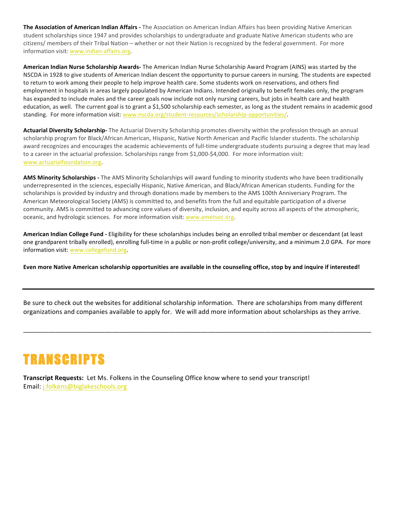**The Association of American Indian Affairs** - The Association on American Indian Affairs has been providing Native American student scholarships since 1947 and provides scholarships to undergraduate and graduate Native American students who are citizens/ members of their Tribal Nation – whether or not their Nation is recognized by the federal government. For more information visit: www.indian-affairs.org.

**American Indian Nurse Scholarship Awards-** The American Indian Nurse Scholarship Award Program (AINS) was started by the NSCDA in 1928 to give students of American Indian descent the opportunity to pursue careers in nursing. The students are expected to return to work among their people to help improve health care. Some students work on reservations, and others find employment in hospitals in areas largely populated by American Indians. Intended originally to benefit females only, the program has expanded to include males and the career goals now include not only nursing careers, but jobs in health care and health education, as well. The current goal is to grant a \$1,500 scholarship each semester, as long as the student remains in academic good standing. For more information visit: www.nscda.org/student-resources/scholarship-opportunities/.

Actuarial Diversity Scholarship- The Actuarial Diversity Scholarship promotes diversity within the profession through an annual scholarship program for Black/African American, Hispanic, Native North American and Pacific Islander students. The scholarship award recognizes and encourages the academic achievements of full-time undergraduate students pursuing a degree that may lead to a career in the actuarial profession. Scholarships range from \$1,000-\$4,000. For more information visit: www.actuarialfoundation.org.

AMS Minority Scholarships - The AMS Minority Scholarships will award funding to minority students who have been traditionally underrepresented in the sciences, especially Hispanic, Native American, and Black/African American students. Funding for the scholarships is provided by industry and through donations made by members to the AMS 100th Anniversary Program. The American Meteorological Society (AMS) is committed to, and benefits from the full and equitable participation of a diverse community. AMS is committed to advancing core values of diversity, inclusion, and equity across all aspects of the atmospheric, oceanic, and hydrologic sciences. For more information visit: www.ametsoc.org.

**American Indian College Fund** - Eligibility for these scholarships includes being an enrolled tribal member or descendant (at least one grandparent tribally enrolled), enrolling full-time in a public or non-profit college/university, and a minimum 2.0 GPA. For more information visit: www.collegefund.org.

Even more Native American scholarship opportunities are available in the counseling office, stop by and inquire if interested!

Be sure to check out the websites for additional scholarship information. There are scholarships from many different organizations and companies available to apply for. We will add more information about scholarships as they arrive.

\_\_\_\_\_\_\_\_\_\_\_\_\_\_\_\_\_\_\_\_\_\_\_\_\_\_\_\_\_\_\_\_\_\_\_\_\_\_\_\_\_\_\_\_\_\_\_\_\_\_\_\_\_\_\_\_\_\_\_\_\_\_\_\_\_\_\_\_\_\_\_\_\_\_\_\_\_\_\_\_\_\_\_\_\_\_\_\_\_\_\_\_\_\_\_\_\_\_

# TRANSCRIPTS

**Transcript Requests:** Let Ms. Folkens in the Counseling Office know where to send your transcript! Email: j.folkens@biglakeschools.org